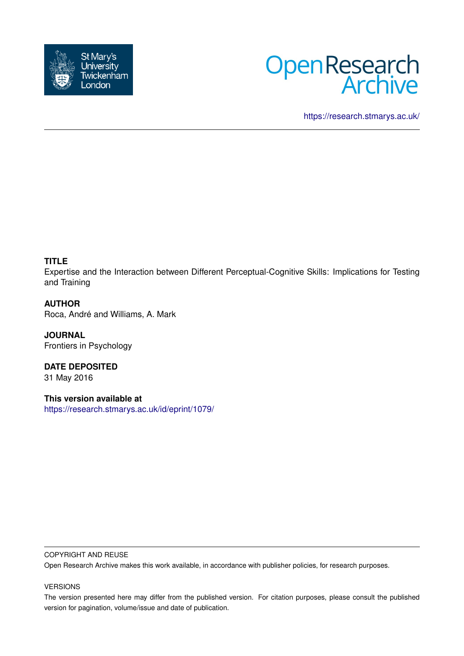



<https://research.stmarys.ac.uk/>

### **TITLE**

Expertise and the Interaction between Different Perceptual-Cognitive Skills: Implications for Testing and Training

### **AUTHOR**

Roca, André and Williams, A. Mark

**JOURNAL** Frontiers in Psychology

**DATE DEPOSITED** 31 May 2016

**This version available at** <https://research.stmarys.ac.uk/id/eprint/1079/>

### COPYRIGHT AND REUSE

Open Research Archive makes this work available, in accordance with publisher policies, for research purposes.

### VERSIONS

The version presented here may differ from the published version. For citation purposes, please consult the published version for pagination, volume/issue and date of publication.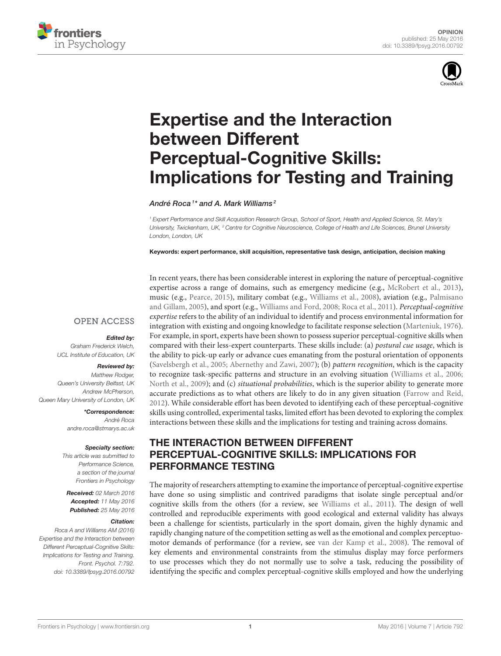



# Expertise and the Interaction between Different Perceptual-Cognitive Skills: [Implications for Testing and Training](http://journal.frontiersin.org/article/10.3389/fpsyg.2016.00792/full)

[André Roca](http://loop.frontiersin.org/people/209928/overview)<sup>1\*</sup> and [A. Mark Williams](http://loop.frontiersin.org/people/174733/overview)<sup>2</sup>

<sup>1</sup> Expert Performance and Skill Acquisition Research Group, School of Sport, Health and Applied Science, St. Mary's University, Twickenham, UK, <sup>2</sup> Centre for Cognitive Neuroscience, College of Health and Life Sciences, Brunel University London, London, UK

Keywords: expert performance, skill acquisition, representative task design, anticipation, decision making

**OPEN ACCESS** 

#### Edited by:

Graham Frederick Welch, UCL Institute of Education, UK

### Reviewed by:

Matthew Rodger, Queen's University Belfast, UK Andrew McPherson, Queen Mary University of London, UK

> \*Correspondence: André Roca [andre.roca@stmarys.ac.uk](mailto:andre.roca@stmarys.ac.uk)

#### Specialty section:

This article was submitted to Performance Science, a section of the journal Frontiers in Psychology

Received: 02 March 2016 Accepted: 11 May 2016 Published: 25 May 2016

#### Citation:

Roca A and Williams AM (2016) Expertise and the Interaction between Different Perceptual-Cognitive Skills: Implications for Testing and Training. Front. Psychol. 7:792. doi: [10.3389/fpsyg.2016.00792](http://dx.doi.org/10.3389/fpsyg.2016.00792) In recent years, there has been considerable interest in exploring the nature of perceptual-cognitive expertise across a range of domains, such as emergency medicine (e.g., [McRobert et al., 2013\)](#page-4-0), music (e.g., [Pearce, 2015\)](#page-4-1), military combat (e.g., [Williams et al., 2008\)](#page-4-2), aviation (e.g., Palmisano and Gillam, [2005\)](#page-4-3), and sport (e.g., [Williams and Ford, 2008;](#page-4-4) [Roca et al., 2011\)](#page-4-5). Perceptual-cognitive expertise refers to the ability of an individual to identify and process environmental information for integration with existing and ongoing knowledge to facilitate response selection [\(Marteniuk, 1976\)](#page-4-6). For example, in sport, experts have been shown to possess superior perceptual-cognitive skills when compared with their less-expert counterparts. These skills include: (a) postural cue usage, which is the ability to pick-up early or advance cues emanating from the postural orientation of opponents [\(Savelsbergh et al., 2005;](#page-4-7) [Abernethy and Zawi, 2007\)](#page-4-8); (b) pattern recognition, which is the capacity to recognize task-specific patterns and structure in an evolving situation [\(Williams et al., 2006;](#page-4-9) [North et al., 2009\)](#page-4-10); and (c) situational probabilities, which is the superior ability to generate more accurate predictions as to what others are likely to do in any given situation [\(Farrow and Reid,](#page-4-11) [2012\)](#page-4-11). While considerable effort has been devoted to identifying each of these perceptual-cognitive skills using controlled, experimental tasks, limited effort has been devoted to exploring the complex interactions between these skills and the implications for testing and training across domains.

### THE INTERACTION BETWEEN DIFFERENT PERCEPTUAL-COGNITIVE SKILLS: IMPLICATIONS FOR PERFORMANCE TESTING

The majority of researchers attempting to examine the importance of perceptual-cognitive expertise have done so using simplistic and contrived paradigms that isolate single perceptual and/or cognitive skills from the others (for a review, see [Williams et al., 2011\)](#page-4-12). The design of well controlled and reproducible experiments with good ecological and external validity has always been a challenge for scientists, particularly in the sport domain, given the highly dynamic and rapidly changing nature of the competition setting as well as the emotional and complex perceptuomotor demands of performance (for a review, see [van der Kamp et al., 2008\)](#page-4-13). The removal of key elements and environmental constraints from the stimulus display may force performers to use processes which they do not normally use to solve a task, reducing the possibility of identifying the specific and complex perceptual-cognitive skills employed and how the underlying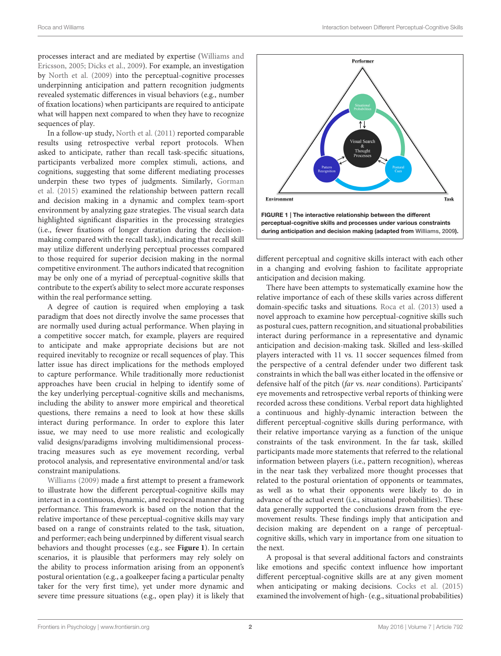processes interact and are mediated by expertise (Williams and Ericsson, [2005;](#page-4-14) [Dicks et al., 2009\)](#page-4-15). For example, an investigation by [North et al. \(2009\)](#page-4-10) into the perceptual-cognitive processes underpinning anticipation and pattern recognition judgments revealed systematic differences in visual behaviors (e.g., number of fixation locations) when participants are required to anticipate what will happen next compared to when they have to recognize sequences of play.

In a follow-up study, [North et al. \(2011\)](#page-4-16) reported comparable results using retrospective verbal report protocols. When asked to anticipate, rather than recall task-specific situations, participants verbalized more complex stimuli, actions, and cognitions, suggesting that some different mediating processes underpin these two types of judgments. Similarly, Gorman et al. [\(2015\)](#page-4-17) examined the relationship between pattern recall and decision making in a dynamic and complex team-sport environment by analyzing gaze strategies. The visual search data highlighted significant disparities in the processing strategies (i.e., fewer fixations of longer duration during the decisionmaking compared with the recall task), indicating that recall skill may utilize different underlying perceptual processes compared to those required for superior decision making in the normal competitive environment. The authors indicated that recognition may be only one of a myriad of perceptual-cognitive skills that contribute to the expert's ability to select more accurate responses within the real performance setting.

A degree of caution is required when employing a task paradigm that does not directly involve the same processes that are normally used during actual performance. When playing in a competitive soccer match, for example, players are required to anticipate and make appropriate decisions but are not required inevitably to recognize or recall sequences of play. This latter issue has direct implications for the methods employed to capture performance. While traditionally more reductionist approaches have been crucial in helping to identify some of the key underlying perceptual-cognitive skills and mechanisms, including the ability to answer more empirical and theoretical questions, there remains a need to look at how these skills interact during performance. In order to explore this later issue, we may need to use more realistic and ecologically valid designs/paradigms involving multidimensional processtracing measures such as eye movement recording, verbal protocol analysis, and representative environmental and/or task constraint manipulations.

[Williams \(2009\)](#page-4-18) made a first attempt to present a framework to illustrate how the different perceptual-cognitive skills may interact in a continuous, dynamic, and reciprocal manner during performance. This framework is based on the notion that the relative importance of these perceptual-cognitive skills may vary based on a range of constraints related to the task, situation, and performer; each being underpinned by different visual search behaviors and thought processes (e.g., see **[Figure 1](#page-2-0)**). In certain scenarios, it is plausible that performers may rely solely on the ability to process information arising from an opponent's postural orientation (e.g., a goalkeeper facing a particular penalty taker for the very first time), yet under more dynamic and severe time pressure situations (e.g., open play) it is likely that



<span id="page-2-0"></span>different perceptual and cognitive skills interact with each other in a changing and evolving fashion to facilitate appropriate anticipation and decision making.

There have been attempts to systematically examine how the relative importance of each of these skills varies across different domain-specific tasks and situations. [Roca et al. \(2013\)](#page-4-19) used a novel approach to examine how perceptual-cognitive skills such as postural cues, pattern recognition, and situational probabilities interact during performance in a representative and dynamic anticipation and decision-making task. Skilled and less-skilled players interacted with 11 vs. 11 soccer sequences filmed from the perspective of a central defender under two different task constraints in which the ball was either located in the offensive or defensive half of the pitch (far vs. near conditions). Participants' eye movements and retrospective verbal reports of thinking were recorded across these conditions. Verbal report data highlighted a continuous and highly-dynamic interaction between the different perceptual-cognitive skills during performance, with their relative importance varying as a function of the unique constraints of the task environment. In the far task, skilled participants made more statements that referred to the relational information between players (i.e., pattern recognition), whereas in the near task they verbalized more thought processes that related to the postural orientation of opponents or teammates, as well as to what their opponents were likely to do in advance of the actual event (i.e., situational probabilities). These data generally supported the conclusions drawn from the eyemovement results. These findings imply that anticipation and decision making are dependent on a range of perceptualcognitive skills, which vary in importance from one situation to the next.

A proposal is that several additional factors and constraints like emotions and specific context influence how important different perceptual-cognitive skills are at any given moment when anticipating or making decisions. [Cocks et al. \(2015\)](#page-4-20) examined the involvement of high- (e.g., situational probabilities)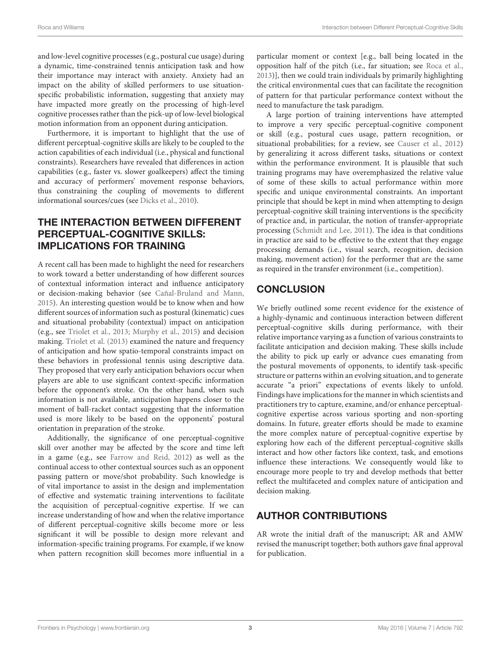and low-level cognitive processes (e.g., postural cue usage) during a dynamic, time-constrained tennis anticipation task and how their importance may interact with anxiety. Anxiety had an impact on the ability of skilled performers to use situationspecific probabilistic information, suggesting that anxiety may have impacted more greatly on the processing of high-level cognitive processes rather than the pick-up of low-level biological motion information from an opponent during anticipation.

Furthermore, it is important to highlight that the use of different perceptual-cognitive skills are likely to be coupled to the action capabilities of each individual (i.e., physical and functional constraints). Researchers have revealed that differences in action capabilities (e.g., faster vs. slower goalkeepers) affect the timing and accuracy of performers' movement response behaviors, thus constraining the coupling of movements to different informational sources/cues (see [Dicks et al., 2010\)](#page-4-21).

### THE INTERACTION BETWEEN DIFFERENT PERCEPTUAL-COGNITIVE SKILLS: IMPLICATIONS FOR TRAINING

A recent call has been made to highlight the need for researchers to work toward a better understanding of how different sources of contextual information interact and influence anticipatory or decision-making behavior (see [Cañal-Bruland and Mann,](#page-4-22) [2015\)](#page-4-22). An interesting question would be to know when and how different sources of information such as postural (kinematic) cues and situational probability (contextual) impact on anticipation (e.g., see [Triolet et al., 2013;](#page-4-23) [Murphy et al., 2015\)](#page-4-24) and decision making. [Triolet et al. \(2013\)](#page-4-23) examined the nature and frequency of anticipation and how spatio-temporal constraints impact on these behaviors in professional tennis using descriptive data. They proposed that very early anticipation behaviors occur when players are able to use significant context-specific information before the opponent's stroke. On the other hand, when such information is not available, anticipation happens closer to the moment of ball-racket contact suggesting that the information used is more likely to be based on the opponents' postural orientation in preparation of the stroke.

Additionally, the significance of one perceptual-cognitive skill over another may be affected by the score and time left in a game (e.g., see [Farrow and Reid, 2012\)](#page-4-11) as well as the continual access to other contextual sources such as an opponent passing pattern or move/shot probability. Such knowledge is of vital importance to assist in the design and implementation of effective and systematic training interventions to facilitate the acquisition of perceptual-cognitive expertise. If we can increase understanding of how and when the relative importance of different perceptual-cognitive skills become more or less significant it will be possible to design more relevant and information-specific training programs. For example, if we know when pattern recognition skill becomes more influential in a particular moment or context [e.g., ball being located in the opposition half of the pitch (i.e., far situation; see [Roca et al.,](#page-4-19) [2013\)](#page-4-19)], then we could train individuals by primarily highlighting the critical environmental cues that can facilitate the recognition of pattern for that particular performance context without the need to manufacture the task paradigm.

A large portion of training interventions have attempted to improve a very specific perceptual-cognitive component or skill (e.g., postural cues usage, pattern recognition, or situational probabilities; for a review, see [Causer et al., 2012\)](#page-4-25) by generalizing it across different tasks, situations or context within the performance environment. It is plausible that such training programs may have overemphasized the relative value of some of these skills to actual performance within more specific and unique environmental constraints. An important principle that should be kept in mind when attempting to design perceptual-cognitive skill training interventions is the specificity of practice and, in particular, the notion of transfer-appropriate processing [\(Schmidt and Lee, 2011\)](#page-4-26). The idea is that conditions in practice are said to be effective to the extent that they engage processing demands (i.e., visual search, recognition, decision making, movement action) for the performer that are the same as required in the transfer environment (i.e., competition).

## **CONCLUSION**

We briefly outlined some recent evidence for the existence of a highly-dynamic and continuous interaction between different perceptual-cognitive skills during performance, with their relative importance varying as a function of various constraints to facilitate anticipation and decision making. These skills include the ability to pick up early or advance cues emanating from the postural movements of opponents, to identify task-specific structure or patterns within an evolving situation, and to generate accurate "a priori" expectations of events likely to unfold. Findings have implications for the manner in which scientists and practitioners try to capture, examine, and/or enhance perceptualcognitive expertise across various sporting and non-sporting domains. In future, greater efforts should be made to examine the more complex nature of perceptual-cognitive expertise by exploring how each of the different perceptual-cognitive skills interact and how other factors like context, task, and emotions influence these interactions. We consequently would like to encourage more people to try and develop methods that better reflect the multifaceted and complex nature of anticipation and decision making.

# AUTHOR CONTRIBUTIONS

AR wrote the initial draft of the manuscript; AR and AMW revised the manuscript together; both authors gave final approval for publication.